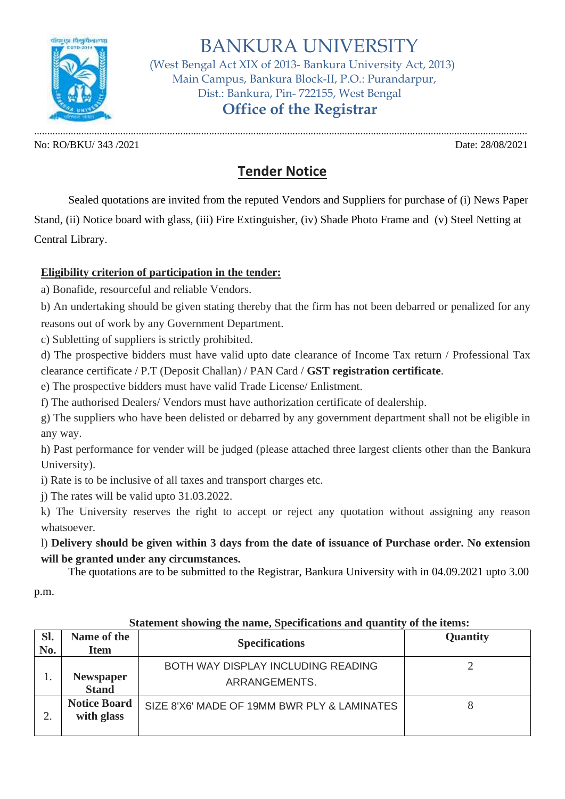

BANKURA UNIVERSITY

 (West Bengal Act XIX of 2013- Bankura University Act, 2013) Main Campus, Bankura Block-II, P.O.: Purandarpur, Dist.: Bankura, Pin- 722155, West Bengal

 **Office of the Registrar**

No: RO/BKU/ 343 /2021 Date: 28/08/2021

.............................................................................................................................................................................................

## **Tender Notice**

Sealed quotations are invited from the reputed Vendors and Suppliers for purchase of (i) News Paper Stand, (ii) Notice board with glass, (iii) Fire Extinguisher, (iv) Shade Photo Frame and (v) Steel Netting at Central Library.

## **Eligibility criterion of participation in the tender:**

a) Bonafide, resourceful and reliable Vendors.

b) An undertaking should be given stating thereby that the firm has not been debarred or penalized for any reasons out of work by any Government Department.

c) Subletting of suppliers is strictly prohibited.

d) The prospective bidders must have valid upto date clearance of Income Tax return / Professional Tax clearance certificate / P.T (Deposit Challan) / PAN Card / **GST registration certificate**.

e) The prospective bidders must have valid Trade License/ Enlistment.

f) The authorised Dealers/ Vendors must have authorization certificate of dealership.

g) The suppliers who have been delisted or debarred by any government department shall not be eligible in any way.

h) Past performance for vender will be judged (please attached three largest clients other than the Bankura University).

i) Rate is to be inclusive of all taxes and transport charges etc.

j) The rates will be valid upto 31.03.2022.

k) The University reserves the right to accept or reject any quotation without assigning any reason whatsoever.

l) **Delivery should be given within 3 days from the date of issuance of Purchase order. No extension will be granted under any circumstances.**

The quotations are to be submitted to the Registrar, Bankura University with in 04.09.2021 upto 3.00

p.m.

| SI.<br>No. | Name of the<br><b>Item</b>        | <b>Specifications</b>                               | Quantity |
|------------|-----------------------------------|-----------------------------------------------------|----------|
|            | <b>Newspaper</b><br><b>Stand</b>  | BOTH WAY DISPLAY INCLUDING READING<br>ARRANGEMENTS. |          |
|            | <b>Notice Board</b><br>with glass | SIZE 8'X6' MADE OF 19MM BWR PLY & LAMINATES         | 8        |

## **Statement showing the name, Specifications and quantity of the items:**